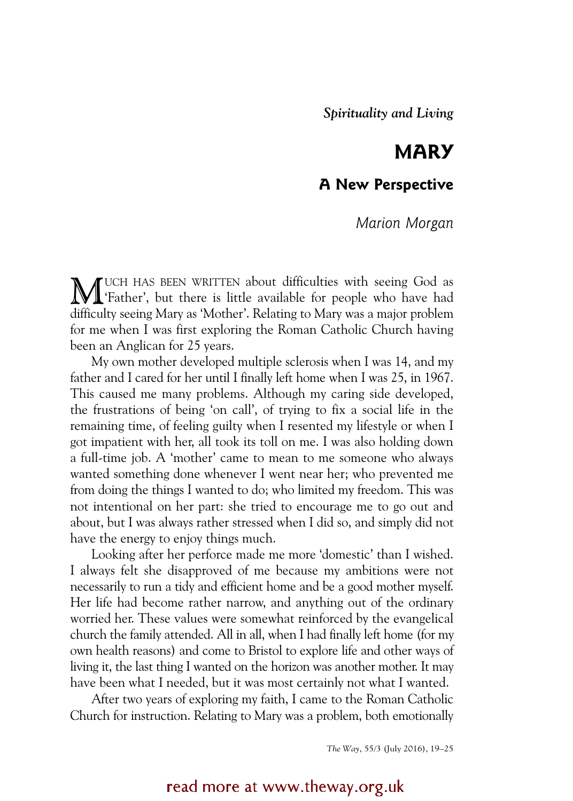# **MARY**

## **A New Perspective**

### *Marion Morgan*

UCH HAS BEEN WRITTEN about difficulties with seeing God as MUCH HAS BEEN WRITTEN about difficulties with seeing God as <br>
Father', but there is little available for people who have had difficulty seeing Mary as 'Mother'. Relating to Mary was a major problem for me when I was first exploring the Roman Catholic Church having been an Anglican for 25 years.

My own mother developed multiple sclerosis when I was 14, and my father and I cared for her until I finally left home when I was 25, in 1967. This caused me many problems. Although my caring side developed, the frustrations of being 'on call', of trying to fix a social life in the remaining time, of feeling guilty when I resented my lifestyle or when I got impatient with her, all took its toll on me. I was also holding down a full-time job. A 'mother' came to mean to me someone who always wanted something done whenever I went near her; who prevented me from doing the things I wanted to do; who limited my freedom. This was not intentional on her part: she tried to encourage me to go out and about, but I was always rather stressed when I did so, and simply did not have the energy to enjoy things much.

Looking after her perforce made me more 'domestic' than I wished. I always felt she disapproved of me because my ambitions were not necessarily to run a tidy and efficient home and be a good mother myself. Her life had become rather narrow, and anything out of the ordinary worried her. These values were somewhat reinforced by the evangelical church the family attended. All in all, when I had finally left home (for my own health reasons) and come to Bristol to explore life and other ways of living it, the last thing I wanted on the horizon was another mother. It may have been what I needed, but it was most certainly not what I wanted.

After two years of exploring my faith, I came to the Roman Catholic Church for instruction. Relating to Mary was a problem, both emotionally

*The Way*, 55/3 (July 2016), 19–25

### read more at www.theway.org.uk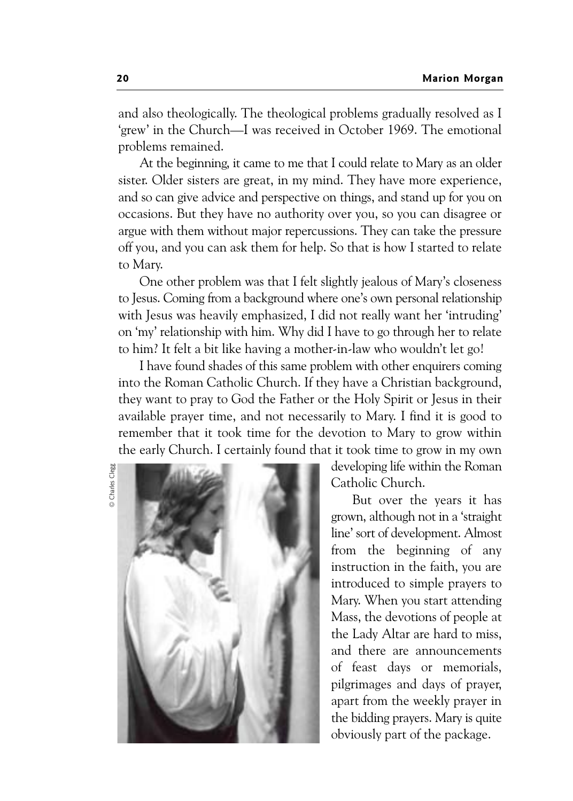and also theologically. The theological problems gradually resolved as I 'grew' in the Church—I was received in October 1969. The emotional problems remained.

At the beginning, it came to me that I could relate to Mary as an older sister. Older sisters are great, in my mind. They have more experience, and so can give advice and perspective on things, and stand up for you on occasions. But they have no authority over you, so you can disagree or argue with them without major repercussions. They can take the pressure off you, and you can ask them for help. So that is how I started to relate to Mary.

One other problem was that I felt slightly jealous of Mary's closeness to Jesus. Coming from a background where one's own personal relationship with Jesus was heavily emphasized, I did not really want her 'intruding' on 'my' relationship with him. Why did I have to go through her to relate to him? It felt a bit like having a mother-in-law who wouldn't let go!

I have found shades of this same problem with other enquirers coming into the Roman Catholic Church. If they have a Christian background, they want to pray to God the Father or the Holy Spirit or Jesus in their available prayer time, and not necessarily to Mary. I find it is good to remember that it took time for the devotion to Mary to grow within the early Church. I certainly found that it took time to grow in my own





developing life within the Roman Catholic Church.

But over the years it has grown, although not in a 'straight line' sort of development. Almost from the beginning of any instruction in the faith, you are introduced to simple prayers to Mary. When you start attending Mass, the devotions of people at the Lady Altar are hard to miss, and there are announcements of feast days or memorials, pilgrimages and days of prayer, apart from the weekly prayer in the bidding prayers. Mary is quite obviously part of the package.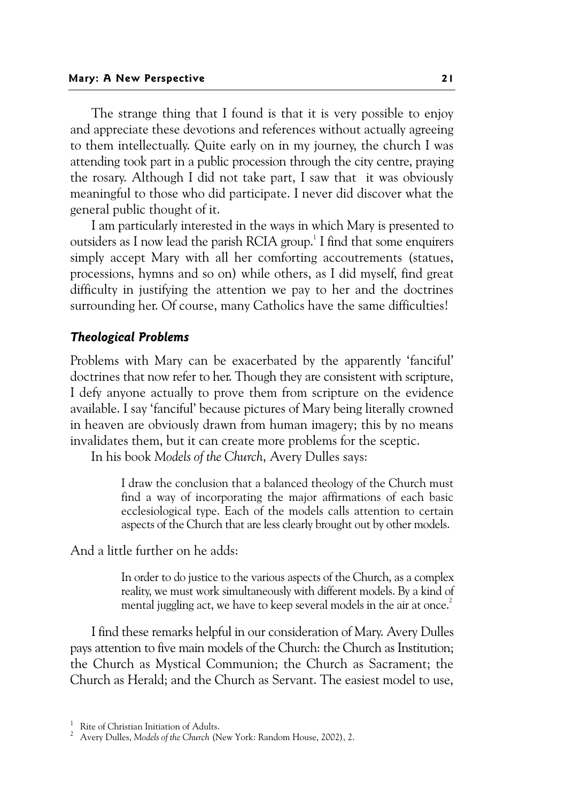The strange thing that I found is that it is very possible to enjoy and appreciate these devotions and references without actually agreeing to them intellectually. Quite early on in my journey, the church I was attending took part in a public procession through the city centre, praying the rosary. Although I did not take part, I saw that it was obviously meaningful to those who did participate. I never did discover what the general public thought of it.

I am particularly interested in the ways in which Mary is presented to outsiders as I now lead the parish RCIA group.<sup>1</sup> I find that some enquirers simply accept Mary with all her comforting accoutrements (statues, processions, hymns and so on) while others, as I did myself, find great difficulty in justifying the attention we pay to her and the doctrines surrounding her. Of course, many Catholics have the same difficulties!

#### *Theological Problems*

Problems with Mary can be exacerbated by the apparently 'fanciful' doctrines that now refer to her. Though they are consistent with scripture, I defy anyone actually to prove them from scripture on the evidence available. I say 'fanciful' because pictures of Mary being literally crowned in heaven are obviously drawn from human imagery; this by no means invalidates them, but it can create more problems for the sceptic.

In his book *Models of the Church*, Avery Dulles says:

I draw the conclusion that a balanced theology of the Church must find a way of incorporating the major affirmations of each basic ecclesiological type. Each of the models calls attention to certain aspects of the Church that are less clearly brought out by other models.

And a little further on he adds:

In order to do justice to the various aspects of the Church, as a complex reality, we must work simultaneously with different models. By a kind of mental juggling act, we have to keep several models in the air at once.<sup>2</sup>

I find these remarks helpful in our consideration of Mary. Avery Dulles pays attention to five main models of the Church: the Church as Institution; the Church as Mystical Communion; the Church as Sacrament; the Church as Herald; and the Church as Servant. The easiest model to use,

<sup>&</sup>lt;sup>1</sup> Rite of Christian Initiation of Adults.

<sup>&</sup>lt;sup>1</sup> Rite of Christian Initiation of Adults.<br><sup>2</sup> Avery Dulles, M*odels of the Church (*New York: Random House, 2002), 2.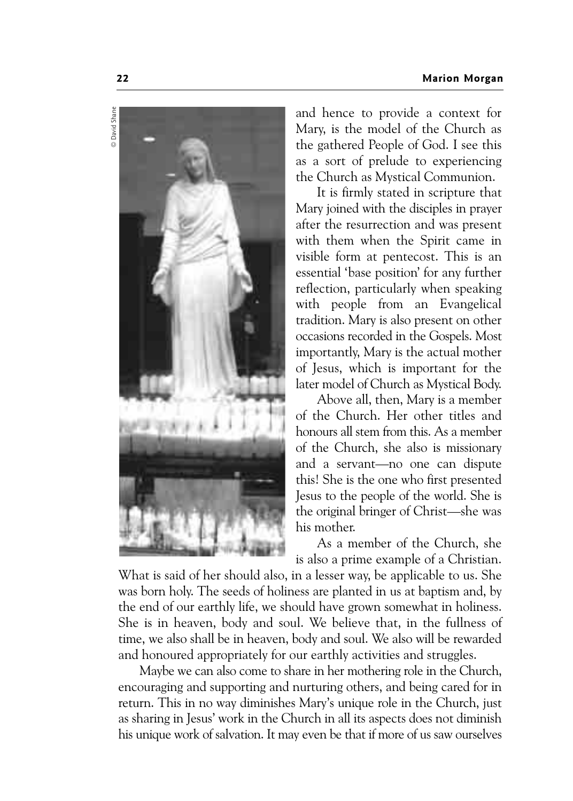

and hence to provide a context for Mary, is the model of the Church as the gathered People of God. I see this as a sort of prelude to experiencing the Church as Mystical Communion.

It is firmly stated in scripture that Mary joined with the disciples in prayer after the resurrection and was present with them when the Spirit came in visible form at pentecost. This is an essential 'base position' for any further reflection, particularly when speaking with people from an Evangelical tradition. Mary is also present on other occasions recorded in the Gospels. Most importantly, Mary is the actual mother of Jesus, which is important for the later model of Church as Mystical Body.

Above all, then, Mary is a member of the Church. Her other titles and honours all stem from this. As a member of the Church, she also is missionary and a servant—no one can dispute this! She is the one who first presented Jesus to the people of the world. She is the original bringer of Christ—she was his mother.

As a member of the Church, she is also a prime example of a Christian.

What is said of her should also, in a lesser way, be applicable to us. She was born holy. The seeds of holiness are planted in us at baptism and, by the end of our earthly life, we should have grown somewhat in holiness. She is in heaven, body and soul. We believe that, in the fullness of time, we also shall be in heaven, body and soul. We also will be rewarded and honoured appropriately for our earthly activities and struggles.

Maybe we can also come to share in her mothering role in the Church, encouraging and supporting and nurturing others, and being cared for in return. This in no way diminishes Mary's unique role in the Church, just as sharing in Jesus' work in the Church in all its aspects does not diminish his unique work of salvation. It may even be that if more of us saw ourselves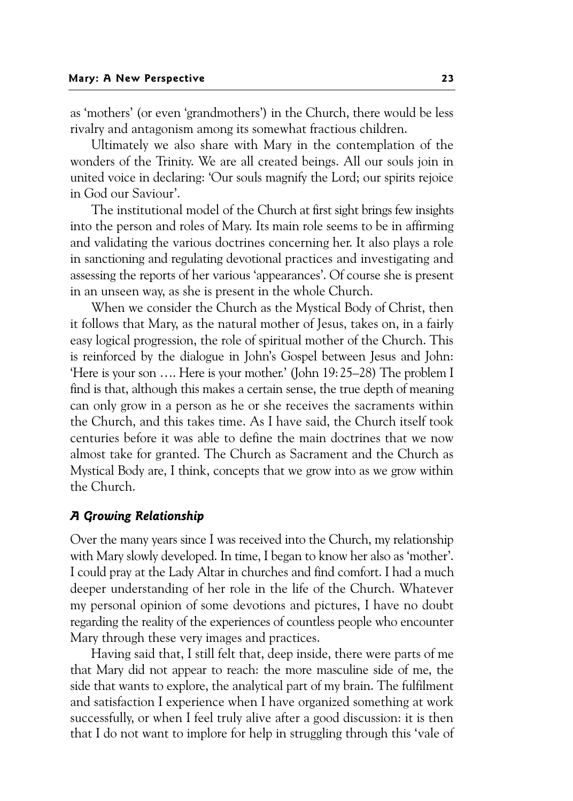as 'mothers' (or even 'grandmothers') in the Church, there would be less rivalry and antagonism among its somewhat fractious children.

Ultimately we also share with Mary in the contemplation of the wonders of the Trinity. We are all created beings. All our souls join in united voice in declaring: 'Our souls magnify the Lord; our spirits rejoice in God our Saviour'.

The institutional model of the Church at first sight brings few insights into the person and roles of Mary. Its main role seems to be in affirming and validating the various doctrines concerning her. It also plays a role in sanctioning and regulating devotional practices and investigating and assessing the reports of her various 'appearances'. Of course she is present in an unseen way, as she is present in the whole Church.

When we consider the Church as the Mystical Body of Christ, then it follows that Mary, as the natural mother of Jesus, takes on, in a fairly easy logical progression, the role of spiritual mother of the Church. This is reinforced by the dialogue in John's Gospel between Jesus and John: 'Here is your son …. Here is your mother.' (John 19:25–28) The problem I find is that, although this makes a certain sense, the true depth of meaning can only grow in a person as he or she receives the sacraments within the Church, and this takes time. As I have said, the Church itself took centuries before it was able to define the main doctrines that we now almost take for granted. The Church as Sacrament and the Church as Mystical Body are, I think, concepts that we grow into as we grow within the Church.

#### *A Growing Relationship*

Over the many years since I was received into the Church, my relationship with Mary slowly developed. In time, I began to know her also as 'mother'. I could pray at the Lady Altar in churches and find comfort. I had a much deeper understanding of her role in the life of the Church. Whatever my personal opinion of some devotions and pictures, I have no doubt regarding the reality of the experiences of countless people who encounter Mary through these very images and practices.

Having said that, I still felt that, deep inside, there were parts of me that Mary did not appear to reach: the more masculine side of me, the side that wants to explore, the analytical part of my brain. The fulfilment and satisfaction I experience when I have organized something at work successfully, or when I feel truly alive after a good discussion: it is then that I do not want to implore for help in struggling through this 'vale of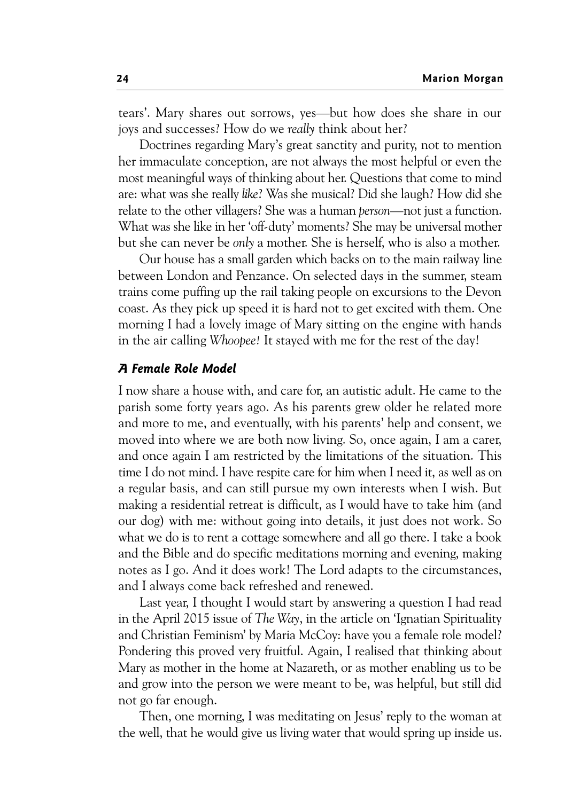tears'. Mary shares out sorrows, yes—but how does she share in our joys and successes? How do we *really* think about her?

Doctrines regarding Mary's great sanctity and purity, not to mention her immaculate conception, are not always the most helpful or even the most meaningful ways of thinking about her. Questions that come to mind are: what was she really *like*? Was she musical? Did she laugh? How did she relate to the other villagers? She was a human *person—*not just a function. What was she like in her 'off-duty' moments? She may be universal mother but she can never be *only* a mother. She is herself, who is also a mother.

Our house has a small garden which backs on to the main railway line between London and Penzance. On selected days in the summer, steam trains come puffing up the rail taking people on excursions to the Devon coast. As they pick up speed it is hard not to get excited with them. One morning I had a lovely image of Mary sitting on the engine with hands in the air calling *Whoopee!* It stayed with me for the rest of the day!

#### *A Female Role Model*

I now share a house with, and care for, an autistic adult. He came to the parish some forty years ago. As his parents grew older he related more and more to me, and eventually, with his parents' help and consent, we moved into where we are both now living. So, once again, I am a carer, and once again I am restricted by the limitations of the situation. This time I do not mind. I have respite care for him when I need it, as well as on a regular basis, and can still pursue my own interests when I wish. But making a residential retreat is difficult, as I would have to take him (and our dog) with me: without going into details, it just does not work. So what we do is to rent a cottage somewhere and all go there. I take a book and the Bible and do specific meditations morning and evening, making notes as I go. And it does work! The Lord adapts to the circumstances, and I always come back refreshed and renewed.

Last year, I thought I would start by answering a question I had read in the April 2015 issue of *The Way*, in the article on 'Ignatian Spirituality and Christian Feminism' by Maria McCoy: have you a female role model? Pondering this proved very fruitful. Again, I realised that thinking about Mary as mother in the home at Nazareth, or as mother enabling us to be and grow into the person we were meant to be, was helpful, but still did not go far enough.

Then, one morning, I was meditating on Jesus' reply to the woman at the well, that he would give us living water that would spring up inside us.